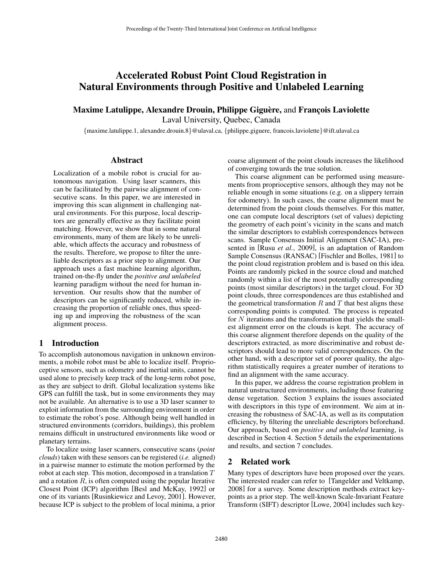# Accelerated Robust Point Cloud Registration in Natural Environments through Positive and Unlabeled Learning

# Maxime Latulippe, Alexandre Drouin, Philippe Giguère, and François Laviolette

Laval University, Quebec, Canada

{maxime.latulippe.1, alexandre.drouin.8}@ulaval.ca, {philippe.giguere, francois.laviolette}@ift.ulaval.ca

#### Abstract

Localization of a mobile robot is crucial for autonomous navigation. Using laser scanners, this can be facilitated by the pairwise alignment of consecutive scans. In this paper, we are interested in improving this scan alignment in challenging natural environments. For this purpose, local descriptors are generally effective as they facilitate point matching. However, we show that in some natural environments, many of them are likely to be unreliable, which affects the accuracy and robustness of the results. Therefore, we propose to filter the unreliable descriptors as a prior step to alignment. Our approach uses a fast machine learning algorithm, trained on-the-fly under the *positive and unlabeled* learning paradigm without the need for human intervention. Our results show that the number of descriptors can be significantly reduced, while increasing the proportion of reliable ones, thus speeding up and improving the robustness of the scan alignment process.

# 1 Introduction

To accomplish autonomous navigation in unknown environments, a mobile robot must be able to localize itself. Proprioceptive sensors, such as odometry and inertial units, cannot be used alone to precisely keep track of the long-term robot pose, as they are subject to drift. Global localization systems like GPS can fulfill the task, but in some environments they may not be available. An alternative is to use a 3D laser scanner to exploit information from the surrounding environment in order to estimate the robot's pose. Although being well handled in structured environments (corridors, buildings), this problem remains difficult in unstructured environments like wood or planetary terrains.

To localize using laser scanners, consecutive scans (*point clouds*) taken with these sensors can be registered (*i.e.* aligned) in a pairwise manner to estimate the motion performed by the robot at each step. This motion, decomposed in a translation  $T$ and a rotation  $R$ , is often computed using the popular Iterative Closest Point (ICP) algorithm [Besl and McKay, 1992] or one of its variants [Rusinkiewicz and Levoy, 2001]. However, because ICP is subject to the problem of local minima, a prior

coarse alignment of the point clouds increases the likelihood of converging towards the true solution.

This coarse alignment can be performed using measurements from proprioceptive sensors, although they may not be reliable enough in some situations (e.g. on a slippery terrain for odometry). In such cases, the coarse alignment must be determined from the point clouds themselves. For this matter, one can compute local descriptors (set of values) depicting the geometry of each point's vicinity in the scans and match the similar descriptors to establish correspondences between scans. Sample Consensus Initial Alignment (SAC-IA), presented in [Rusu *et al.*, 2009], is an adaptation of Random Sample Consensus (RANSAC) [Fischler and Bolles, 1981] to the point cloud registration problem and is based on this idea. Points are randomly picked in the source cloud and matched randomly within a list of the most potentially corresponding points (most similar descriptors) in the target cloud. For 3D point clouds, three correspondences are thus established and the geometrical transformation  $R$  and  $T$  that best aligns these corresponding points is computed. The process is repeated for N iterations and the transformation that yields the smallest alignment error on the clouds is kept. The accuracy of this coarse alignment therefore depends on the quality of the descriptors extracted, as more discriminative and robust descriptors should lead to more valid correspondences. On the other hand, with a descriptor set of poorer quality, the algorithm statistically requires a greater number of iterations to find an alignment with the same accuracy.

In this paper, we address the coarse registration problem in natural unstructured environments, including those featuring dense vegetation. Section 3 explains the issues associated with descriptors in this type of environment. We aim at increasing the robustness of SAC-IA, as well as its computation efficiency, by filtering the unreliable descriptors beforehand. Our approach, based on *positive and unlabeled* learning, is described in Section 4. Section 5 details the experimentations and results, and section 7 concludes.

# 2 Related work

Many types of descriptors have been proposed over the years. The interested reader can refer to [Tangelder and Veltkamp, 2008] for a survey. Some description methods extract keypoints as a prior step. The well-known Scale-Invariant Feature Transform (SIFT) descriptor [Lowe, 2004] includes such key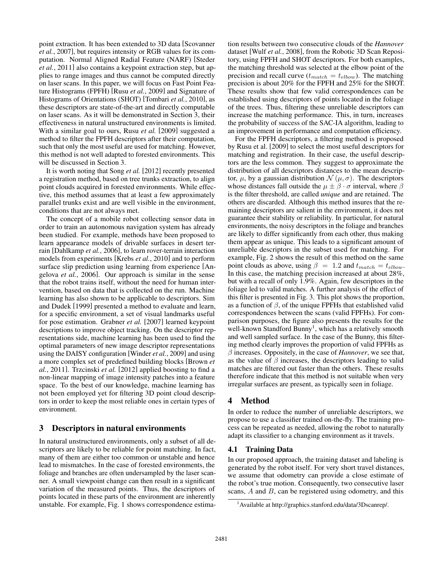point extraction. It has been extended to 3D data [Scovanner *et al.*, 2007], but requires intensity or RGB values for its computation. Normal Aligned Radial Feature (NARF) [Steder *et al.*, 2011] also contains a keypoint extraction step, but applies to range images and thus cannot be computed directly on laser scans. In this paper, we will focus on Fast Point Feature Histograms (FPFH) [Rusu *et al.*, 2009] and Signature of Histograms of Orientations (SHOT) [Tombari *et al.*, 2010], as these descriptors are state-of-the-art and directly computable on laser scans. As it will be demonstrated in Section 3, their effectiveness in natural unstructured environments is limited. With a similar goal to ours, Rusu *et al.* [2009] suggested a method to filter the FPFH descriptors after their computation, such that only the most useful are used for matching. However, this method is not well adapted to forested environments. This will be discussed in Section 3.

It is worth noting that Song *et al.* [2012] recently presented a registration method, based on tree trunks extraction, to align point clouds acquired in forested environments. While effective, this method assumes that at least a few approximately parallel trunks exist and are well visible in the environment, conditions that are not always met.

The concept of a mobile robot collecting sensor data in order to train an autonomous navigation system has already been studied. For example, methods have been proposed to learn appearance models of drivable surfaces in desert terrain [Dahlkamp *et al.*, 2006], to learn rover-terrain interaction models from experiments [Krebs *et al.*, 2010] and to perform surface slip prediction using learning from experience [Angelova *et al.*, 2006]. Our approach is similar in the sense that the robot trains itself, without the need for human intervention, based on data that is collected on the run. Machine learning has also shown to be applicable to descriptors. Sim and Dudek [1999] presented a method to evaluate and learn, for a specific environment, a set of visual landmarks useful for pose estimation. Grabner *et al.* [2007] learned keypoint descriptions to improve object tracking. On the descriptor representations side, machine learning has been used to find the optimal parameters of new image descriptor representations using the DAISY configuration [Winder *et al.*, 2009] and using a more complex set of predefined building blocks [Brown *et al.*, 2011]. Trzcinski *et al.* [2012] applied boosting to find a non-linear mapping of image intensity patches into a feature space. To the best of our knowledge, machine learning has not been employed yet for filtering 3D point cloud descriptors in order to keep the most reliable ones in certain types of environment.

# 3 Descriptors in natural environments

In natural unstructured environments, only a subset of all descriptors are likely to be reliable for point matching. In fact, many of them are either too common or unstable and hence lead to mismatches. In the case of forested environments, the foliage and branches are often undersampled by the laser scanner. A small viewpoint change can then result in a significant variation of the measured points. Thus, the descriptors of points located in these parts of the environment are inherently unstable. For example, Fig. 1 shows correspondence estimation results between two consecutive clouds of the *Hannover* dataset [Wulf *et al.*, 2008], from the Robotic 3D Scan Repository, using FPFH and SHOT descriptors. For both examples, the matching threshold was selected at the elbow point of the precision and recall curve  $(t_{match} = t_{elbow})$ . The matching precision is about 20% for the FPFH and 25% for the SHOT. These results show that few valid correspondences can be established using descriptors of points located in the foliage of the trees. Thus, filtering these unreliable descriptors can increase the matching performance. This, in turn, increases the probability of success of the SAC-IA algorithm, leading to an improvement in performance and computation efficiency.

For the FPFH descriptors, a filtering method is proposed by Rusu et al. [2009] to select the most useful descriptors for matching and registration. In their case, the useful descriptors are the less common. They suggest to approximate the distribution of all descriptors distances to the mean descriptor,  $\mu$ , by a gaussian distribution  $\mathcal{N}(\mu, \sigma)$ . The descriptors whose distances fall outside the  $\mu \pm \beta \cdot \sigma$  interval, where  $\beta$ is the filter threshold, are called *unique* and are retained. The others are discarded. Although this method insures that the remaining descriptors are salient in the environment, it does not guarantee their stability or reliability. In particular, for natural environments, the noisy descriptors in the foliage and branches are likely to differ significantly from each other, thus making them appear as unique. This leads to a significant amount of unreliable descriptors in the subset used for matching. For example, Fig. 2 shows the result of this method on the same point clouds as above, using  $\beta = 1.2$  and  $t_{match} = t_{elbow}$ . In this case, the matching precision increased at about 28%, but with a recall of only 1.9%. Again, few descriptors in the foliage led to valid matches. A further analysis of the effect of this filter is presented in Fig. 3. This plot shows the proportion, as a function of  $\beta$ , of the unique FPFHs that established valid correspondences between the scans (valid FPFHs). For comparison purposes, the figure also presents the results for the well-known Standford Bunny<sup>1</sup>, which has a relatively smooth and well sampled surface. In the case of the Bunny, this filtering method clearly improves the proportion of valid FPFHs as  $\beta$  increases. Oppositely, in the case of *Hannover*, we see that, as the value of  $\beta$  increases, the descriptors leading to valid matches are filtered out faster than the others. These results therefore indicate that this method is not suitable when very irregular surfaces are present, as typically seen in foliage.

# 4 Method

In order to reduce the number of unreliable descriptors, we propose to use a classifier trained on-the-fly. The training process can be repeated as needed, allowing the robot to naturally adapt its classifier to a changing environment as it travels.

# 4.1 Training Data

In our proposed approach, the training dataset and labeling is generated by the robot itself. For very short travel distances, we assume that odometry can provide a close estimate of the robot's true motion. Consequently, two consecutive laser scans, A and B, can be registered using odometry, and this

<sup>&</sup>lt;sup>1</sup> Available at http://graphics.stanford.edu/data/3Dscanrep/.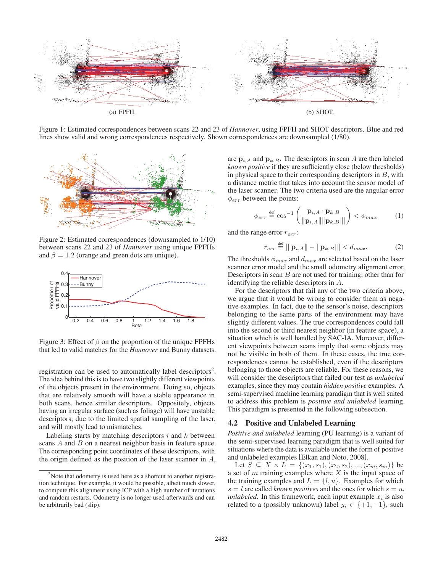

Figure 1: Estimated correspondences between scans 22 and 23 of *Hannover*, using FPFH and SHOT descriptors. Blue and red lines show valid and wrong correspondences respectively. Shown correspondences are downsampled (1/80).



Figure 2: Estimated correspondences (downsampled to 1/10) between scans 22 and 23 of *Hannover* using unique FPFHs and  $\beta = 1.2$  (orange and green dots are unique).



Figure 3: Effect of  $\beta$  on the proportion of the unique FPFHs that led to valid matches for the *Hannover* and Bunny datasets.

registration can be used to automatically label descriptors<sup>2</sup>. The idea behind this is to have two slightly different viewpoints of the objects present in the environment. Doing so, objects that are relatively smooth will have a stable appearance in both scans, hence similar descriptors. Oppositely, objects having an irregular surface (such as foliage) will have unstable descriptors, due to the limited spatial sampling of the laser, and will mostly lead to mismatches.

Labeling starts by matching descriptors  $i$  and  $k$  between scans A and B on a nearest neighbor basis in feature space. The corresponding point coordinates of these descriptors, with the origin defined as the position of the laser scanner in  $A$ ,

are  $\mathbf{p}_{i,A}$  and  $\mathbf{p}_{k,B}$ . The descriptors in scan A are then labeled *known positive* if they are sufficiently close (below thresholds) in physical space to their corresponding descriptors in  $B$ , with a distance metric that takes into account the sensor model of the laser scanner. The two criteria used are the angular error  $\phi_{err}$  between the points:

$$
\phi_{err} \stackrel{\text{def}}{=} \cos^{-1} \left( \frac{\mathbf{p}_{i,A} \cdot \mathbf{p}_{k,B}}{\|\mathbf{p}_{i,A}\| \|\mathbf{p}_{k,B}\|} \right) < \phi_{max} \tag{1}
$$

and the range error  $r_{err}$ :

$$
r_{err} \stackrel{\text{def}}{=} |||\mathbf{p}_{i,A}|| - ||\mathbf{p}_{k,B}||| < d_{max}.\tag{2}
$$

The thresholds  $\phi_{max}$  and  $d_{max}$  are selected based on the laser scanner error model and the small odometry alignment error. Descriptors in scan  $B$  are not used for training, other than for identifying the reliable descriptors in A.

For the descriptors that fail any of the two criteria above, we argue that it would be wrong to consider them as negative examples. In fact, due to the sensor's noise, descriptors belonging to the same parts of the environment may have slightly different values. The true correspondences could fall into the second or third nearest neighbor (in feature space), a situation which is well handled by SAC-IA. Moreover, different viewpoints between scans imply that some objects may not be visible in both of them. In these cases, the true correspondences cannot be established, even if the descriptors belonging to those objects are reliable. For these reasons, we will consider the descriptors that failed our test as *unlabeled* examples, since they may contain *hidden positive* examples. A semi-supervised machine learning paradigm that is well suited to address this problem is *positive and unlabeled* learning. This paradigm is presented in the following subsection.

#### 4.2 Positive and Unlabeled Learning

*Positive and unlabeled* learning (PU learning) is a variant of the semi-supervised learning paradigm that is well suited for situations where the data is available under the form of positive and unlabeled examples [Elkan and Noto, 2008].

Let  $S \subseteq X \times L = \{(x_1, s_1), (x_2, s_2), ..., (x_m, s_m)\}\$ be a set of  $m$  training examples where  $X$  is the input space of the training examples and  $L = \{l, u\}$ . Examples for which  $s = l$  are called *known positives* and the ones for which  $s = u$ , *unlabeled*. In this framework, each input example  $x_i$  is also related to a (possibly unknown) label  $y_i \in \{+1, -1\}$ , such

 $2$ Note that odometry is used here as a shortcut to another registration technique. For example, it would be possible, albeit much slower, to compute this alignment using ICP with a high number of iterations and random restarts. Odometry is no longer used afterwards and can be arbitrarily bad (slip).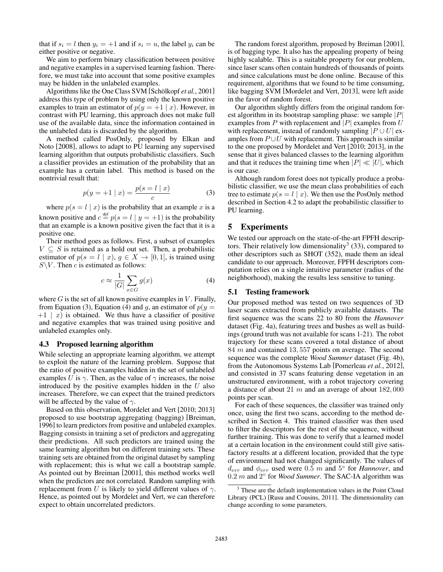that if  $s_i = l$  then  $y_i = +1$  and if  $s_i = u$ , the label  $y_i$  can be either positive or negative.

We aim to perform binary classification between positive and negative examples in a supervised learning fashion. Therefore, we must take into account that some positive examples may be hidden in the unlabeled examples.

Algorithms like the One Class SVM [Schölkopf et al., 2001] address this type of problem by using only the known positive examples to train an estimator of  $p(y = +1 | x)$ . However, in contrast with PU learning, this approach does not make full use of the available data, since the information contained in the unlabeled data is discarded by the algorithm.

A method called PosOnly, proposed by Elkan and Noto [2008], allows to adapt to PU learning any supervised learning algorithm that outputs probabilistic classifiers. Such a classifier provides an estimation of the probability that an example has a certain label. This method is based on the nontrivial result that:

$$
p(y = +1 | x) = \frac{p(s = l | x)}{c}
$$
 (3)

where  $p(s = l \mid x)$  is the probability that an example x is a known positive and  $c \stackrel{\text{def}}{=} p(s = l \mid y = +1)$  is the probability that an example is a known positive given the fact that it is a positive one.

Their method goes as follows. First, a subset of examples  $V \subseteq S$  is retained as a hold out set. Then, a probabilistic estimator of  $p(s = l \mid x)$ ,  $q \in X \rightarrow [0, 1]$ , is trained using  $S\backslash V$ . Then c is estimated as follows:

$$
c \approx \frac{1}{|G|} \sum_{x \in G} g(x) \tag{4}
$$

where  $G$  is the set of all known positive examples in  $V$ . Finally, from Equation (3), Equation (4) and g, an estimator of  $p(y =$  $+1$  | x) is obtained. We thus have a classifier of positive and negative examples that was trained using positive and unlabeled examples only.

#### 4.3 Proposed learning algorithm

While selecting an appropriate learning algorithm, we attempt to exploit the nature of the learning problem. Suppose that the ratio of positive examples hidden in the set of unlabeled examples U is  $\gamma$ . Then, as the value of  $\gamma$  increases, the noise introduced by the positive examples hidden in the  $U$  also increases. Therefore, we can expect that the trained predictors will be affected by the value of  $\gamma$ .

Based on this observation, Mordelet and Vert [2010; 2013] proposed to use bootstrap aggregating (bagging) [Breiman, 1996] to learn predictors from positive and unlabeled examples. Bagging consists in training a set of predictors and aggregating their predictions. All such predictors are trained using the same learning algorithm but on different training sets. These training sets are obtained from the original dataset by sampling with replacement; this is what we call a bootstrap sample. As pointed out by Breiman [2001], this method works well when the predictors are not correlated. Random sampling with replacement from U is likely to yield different values of  $\gamma$ . Hence, as pointed out by Mordelet and Vert, we can therefore expect to obtain uncorrelated predictors.

The random forest algorithm, proposed by Breiman [2001], is of bagging type. It also has the appealing property of being highly scalable. This is a suitable property for our problem, since laser scans often contain hundreds of thousands of points and since calculations must be done online. Because of this requirement, algorithms that we found to be time consuming, like bagging SVM [Mordelet and Vert, 2013], were left aside in the favor of random forest.

Our algorithm slightly differs from the original random forest algorithm in its bootstrap sampling phase: we sample  $|P|$ examples from P with replacement and |P| examples from  $U$ with replacement, instead of randomly sampling  $|P \cup U|$  examples from  $P \cup U$  with replacement. This approach is similar to the one proposed by Mordelet and Vert [2010; 2013], in the sense that it gives balanced classes to the learning algorithm and that it reduces the training time when  $|P| \ll |U|$ , which is our case.

Although random forest does not typically produce a probabilistic classifier, we use the mean class probabilities of each tree to estimate  $p(s = l \mid x)$ . We then use the PosOnly method described in Section 4.2 to adapt the probabilistic classifier to PU learning.

# 5 Experiments

We tested our approach on the state-of-the-art FPFH descriptors. Their relatively low dimensionality<sup>3</sup> (33), compared to other descriptors such as SHOT (352), made them an ideal candidate to our approach. Moreover, FPFH descriptors computation relies on a single intuitive parameter (radius of the neighborhood), making the results less sensitive to tuning.

#### 5.1 Testing framework

Our proposed method was tested on two sequences of 3D laser scans extracted from publicly available datasets. The first sequence was the scans 22 to 80 from the *Hannover* dataset (Fig. 4a), featuring trees and bushes as well as buildings (ground truth was not available for scans 1-21). The robot trajectory for these scans covered a total distance of about 84 m and contained 13, 557 points on average. The second sequence was the complete *Wood Summer* dataset (Fig. 4b), from the Autonomous Systems Lab [Pomerleau *et al.*, 2012], and consisted in 37 scans featuring dense vegetation in an unstructured environment, with a robot trajectory covering a distance of about 21  $m$  and an average of about 182,000 points per scan.

For each of these sequences, the classifier was trained only once, using the first two scans, according to the method described in Section 4. This trained classifier was then used to filter the descriptors for the rest of the sequence, without further training. This was done to verify that a learned model at a certain location in the environment could still give satisfactory results at a different location, provided that the type of environment had not changed significantly. The values of  $d_{err}$  and  $\phi_{err}$  used were 0.5 m and 5 $\degree$  for *Hannover*, and 0.2 m and 2◦ for *Wood Summer*. The SAC-IA algorithm was

 $3$  These are the default implementation values in the Point Cloud Library (PCL) [Rusu and Cousins, 2011]. The dimensionality can change according to some parameters.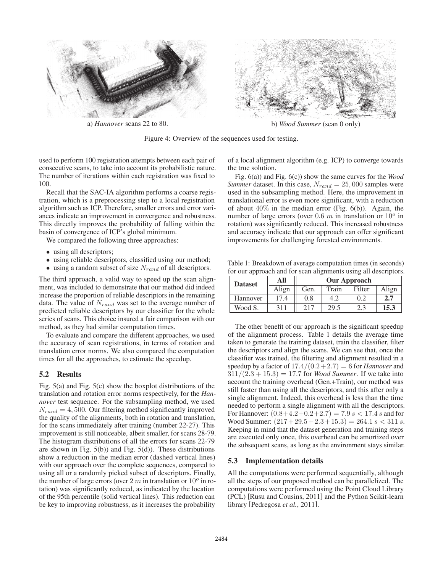

Figure 4: Overview of the sequences used for testing.

used to perform 100 registration attempts between each pair of consecutive scans, to take into account its probabilistic nature. The number of iterations within each registration was fixed to 100.

Recall that the SAC-IA algorithm performs a coarse registration, which is a preprocessing step to a local registration algorithm such as ICP. Therefore, smaller errors and error variances indicate an improvement in convergence and robustness. This directly improves the probability of falling within the basin of convergence of ICP's global minimum.

We compared the following three approaches:

- using all descriptors;
- using reliable descriptors, classified using our method;
- using a random subset of size  $N_{rand}$  of all descriptors.

The third approach, a valid way to speed up the scan alignment, was included to demonstrate that our method did indeed increase the proportion of reliable descriptors in the remaining data. The value of  $N_{rand}$  was set to the average number of predicted reliable descriptors by our classifier for the whole series of scans. This choice insured a fair comparison with our method, as they had similar computation times.

To evaluate and compare the different approaches, we used the accuracy of scan registrations, in terms of rotation and translation error norms. We also compared the computation times for all the approaches, to estimate the speedup.

#### 5.2 Results

Fig. 5(a) and Fig. 5(c) show the boxplot distributions of the translation and rotation error norms respectively, for the *Hannover* test sequence. For the subsampling method, we used  $N_{rand} = 4,500$ . Our filtering method significantly improved the quality of the alignments, both in rotation and translation, for the scans immediately after training (number 22-27). This improvement is still noticeable, albeit smaller, for scans 28-79. The histogram distributions of all the errors for scans 22-79 are shown in Fig.  $5(b)$  and Fig.  $5(d)$ ). These distributions show a reduction in the median error (dashed vertical lines) with our approach over the complete sequences, compared to using all or a randomly picked subset of descriptors. Finally, the number of large errors (over 2  $m$  in translation or  $10^{\circ}$  in rotation) was significantly reduced, as indicated by the location of the 95th percentile (solid vertical lines). This reduction can be key to improving robustness, as it increases the probability

of a local alignment algorithm (e.g. ICP) to converge towards the true solution.

Fig. 6(a)) and Fig. 6(c)) show the same curves for the *Wood Summer* dataset. In this case,  $N_{rand} = 25,000$  samples were used in the subsampling method. Here, the improvement in translational error is even more significant, with a reduction of about  $40\%$  in the median error (Fig. 6(b)). Again, the number of large errors (over 0.6  $m$  in translation or  $10^{\circ}$  in rotation) was significantly reduced. This increased robustness and accuracy indicate that our approach can offer significant improvements for challenging forested environments.

Table 1: Breakdown of average computation times (in seconds) for our approach and for scan alignments using all descriptors.

| <b>Dataset</b> | All   | <b>Our Approach</b> |       |        |       |
|----------------|-------|---------------------|-------|--------|-------|
|                | Align | Gen.                | Train | Filter | Align |
| Hannover       | 174   | 0.8                 |       | 0.2    | 2.7   |
| Wood S.        | 311   | 217                 | 29.5  | 2.3    | 15.3  |

The other benefit of our approach is the significant speedup of the alignment process. Table 1 details the average time taken to generate the training dataset, train the classifier, filter the descriptors and align the scans. We can see that, once the classifier was trained, the filtering and alignment resulted in a speedup by a factor of  $17.4/(0.2+2.7) = 6$  for *Hannover* and  $311/(2.3 + 15.3) = 17.7$  for *Wood Summer*. If we take into account the training overhead (Gen.+Train), our method was still faster than using all the descriptors, and this after only a single alignment. Indeed, this overhead is less than the time needed to perform a single alignment with all the descriptors. For Hannover:  $(0.8+4.2+0.2+2.7) = 7.9 s < 17.4 s$  and for Wood Summer:  $(217 + 29.5 + 2.3 + 15.3) = 264.1$  s < 311 s. Keeping in mind that the dataset generation and training steps are executed only once, this overhead can be amortized over the subsequent scans, as long as the environment stays similar.

# 5.3 Implementation details

All the computations were performed sequentially, although all the steps of our proposed method can be parallelized. The computations were performed using the Point Cloud Library (PCL) [Rusu and Cousins, 2011] and the Python Scikit-learn library [Pedregosa *et al.*, 2011].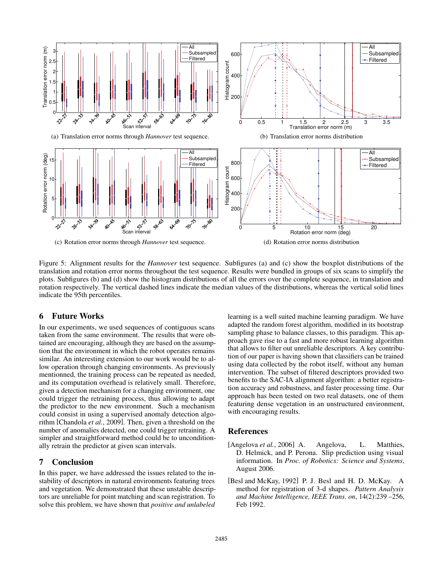

Figure 5: Alignment results for the *Hannover* test sequence. Subfigures (a) and (c) show the boxplot distributions of the translation and rotation error norms throughout the test sequence. Results were bundled in groups of six scans to simplify the plots. Subfigures (b) and (d) show the histogram distributions of all the errors over the complete sequence, in translation and rotation respectively. The vertical dashed lines indicate the median values of the distributions, whereas the vertical solid lines indicate the 95th percentiles.

# 6 Future Works

In our experiments, we used sequences of contiguous scans taken from the same environment. The results that were obtained are encouraging, although they are based on the assumption that the environment in which the robot operates remains similar. An interesting extension to our work would be to allow operation through changing environments. As previously mentionned, the training process can be repeated as needed, and its computation overhead is relatively small. Therefore, given a detection mechanism for a changing environment, one could trigger the retraining process, thus allowing to adapt the predictor to the new environment. Such a mechanism could consist in using a supervised anomaly detection algorithm [Chandola *et al.*, 2009]. Then, given a threshold on the number of anomalies detected, one could trigger retraining. A simpler and straightforward method could be to unconditionally retrain the predictor at given scan intervals.

# 7 Conclusion

In this paper, we have addressed the issues related to the instability of descriptors in natural environments featuring trees and vegetation. We demonstrated that these unstable descriptors are unreliable for point matching and scan registration. To solve this problem, we have shown that *positive and unlabeled*

learning is a well suited machine learning paradigm. We have adapted the random forest algorithm, modified in its bootstrap sampling phase to balance classes, to this paradigm. This approach gave rise to a fast and more robust learning algorithm that allows to filter out unreliable descriptors. A key contribution of our paper is having shown that classifiers can be trained using data collected by the robot itself, without any human intervention. The subset of filtered descriptors provided two benefits to the SAC-IA alignment algorithm: a better registration accuracy and robustness, and faster processing time. Our approach has been tested on two real datasets, one of them featuring dense vegetation in an unstructured environment, with encouraging results.

# References

- [Angelova *et al.*, 2006] A. Angelova, L. Matthies, D. Helmick, and P. Perona. Slip prediction using visual information. In *Proc. of Robotics: Science and Systems*, August 2006.
- [Besl and McKay, 1992] P. J. Besl and H. D. McKay. A method for registration of 3-d shapes. *Pattern Analysis and Machine Intelligence, IEEE Trans. on*, 14(2):239 –256, Feb 1992.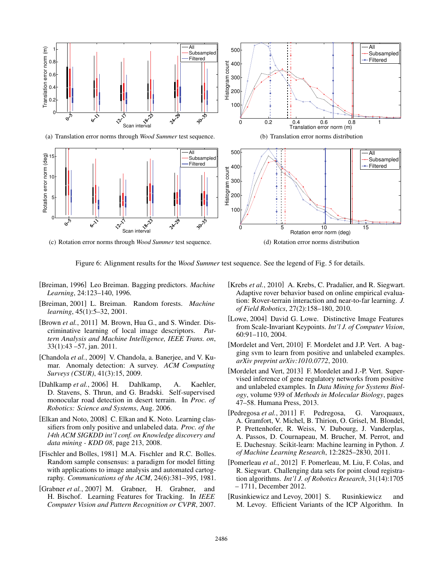

Figure 6: Alignment results for the *Wood Summer* test sequence. See the legend of Fig. 5 for details.

- [Breiman, 1996] Leo Breiman. Bagging predictors. *Machine Learning*, 24:123–140, 1996.
- [Breiman, 2001] L. Breiman. Random forests. *Machine learning*, 45(1):5–32, 2001.
- [Brown *et al.*, 2011] M. Brown, Hua G., and S. Winder. Discriminative learning of local image descriptors. *Pattern Analysis and Machine Intelligence, IEEE Trans. on*, 33(1):43 –57, jan. 2011.
- [Chandola *et al.*, 2009] V. Chandola, a. Banerjee, and V. Kumar. Anomaly detection: A survey. *ACM Computing Surveys (CSUR)*, 41(3):15, 2009.
- [Dahlkamp et al., 2006] H. Dahlkamp, A. Kaehler, D. Stavens, S. Thrun, and G. Bradski. Self-supervised monocular road detection in desert terrain. In *Proc. of Robotics: Science and Systems*, Aug. 2006.
- [Elkan and Noto, 2008] C. Elkan and K. Noto. Learning classifiers from only positive and unlabeled data. *Proc. of the 14th ACM SIGKDD int'l conf. on Knowledge discovery and data mining - KDD 08*, page 213, 2008.
- [Fischler and Bolles, 1981] M.A. Fischler and R.C. Bolles. Random sample consensus: a paradigm for model fitting with applications to image analysis and automated cartography. *Communications of the ACM*, 24(6):381–395, 1981.
- [Grabner *et al.*, 2007] M. Grabner, H. Grabner, and H. Bischof. Learning Features for Tracking. In *IEEE Computer Vision and Pattern Recognition or CVPR*, 2007.
- [Krebs *et al.*, 2010] A. Krebs, C. Pradalier, and R. Siegwart. Adaptive rover behavior based on online empirical evaluation: Rover-terrain interaction and near-to-far learning. *J. of Field Robotics*, 27(2):158–180, 2010.
- [Lowe, 2004] David G. Lowe. Distinctive Image Features from Scale-Invariant Keypoints. *Int'l J. of Computer Vision*, 60:91–110, 2004.
- [Mordelet and Vert, 2010] F. Mordelet and J.P. Vert. A bagging svm to learn from positive and unlabeled examples. *arXiv preprint arXiv:1010.0772*, 2010.
- [Mordelet and Vert, 2013] F. Mordelet and J.-P. Vert. Supervised inference of gene regulatory networks from positive and unlabeled examples. In *Data Mining for Systems Biology*, volume 939 of *Methods in Molecular Biology*, pages 47–58. Humana Press, 2013.
- [Pedregosa *et al.*, 2011] F. Pedregosa, G. Varoquaux, A. Gramfort, V. Michel, B. Thirion, O. Grisel, M. Blondel, P. Prettenhofer, R. Weiss, V. Dubourg, J. Vanderplas, A. Passos, D. Cournapeau, M. Brucher, M. Perrot, and E. Duchesnay. Scikit-learn: Machine learning in Python. *J. of Machine Learning Research*, 12:2825–2830, 2011.
- [Pomerleau *et al.*, 2012] F. Pomerleau, M. Liu, F. Colas, and R. Siegwart. Challenging data sets for point cloud registration algorithms. *Int'l J. of Robotics Research*, 31(14):1705 – 1711, December 2012.
- [Rusinkiewicz and Levoy, 2001] S. Rusinkiewicz and M. Levoy. Efficient Variants of the ICP Algorithm. In